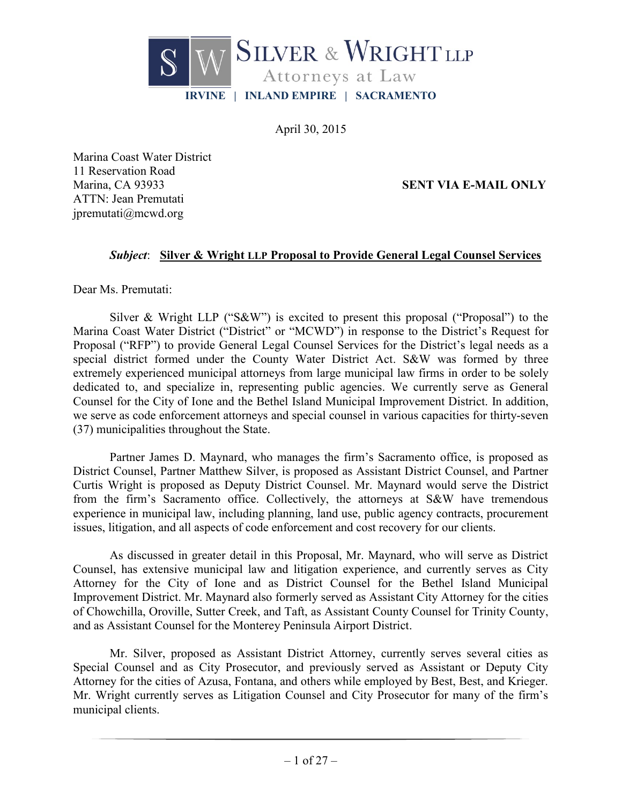

April 30, 2015

Marina Coast Water District 11 Reservation Road ATTN: Jean Premutati jpremutati@mcwd.org

Marina, CA 93933 **SENT VIA E-MAIL ONLY**

#### *Subject*: **Silver & Wright LLP Proposal to Provide General Legal Counsel Services**

Dear Ms. Premutati:

Silver & Wright LLP ("S&W") is excited to present this proposal ("Proposal") to the Marina Coast Water District ("District" or "MCWD") in response to the District's Request for Proposal ("RFP") to provide General Legal Counsel Services for the District's legal needs as a special district formed under the County Water District Act. S&W was formed by three extremely experienced municipal attorneys from large municipal law firms in order to be solely dedicated to, and specialize in, representing public agencies. We currently serve as General Counsel for the City of Ione and the Bethel Island Municipal Improvement District. In addition, we serve as code enforcement attorneys and special counsel in various capacities for thirty-seven (37) municipalities throughout the State.

Partner James D. Maynard, who manages the firm's Sacramento office, is proposed as District Counsel, Partner Matthew Silver, is proposed as Assistant District Counsel, and Partner Curtis Wright is proposed as Deputy District Counsel. Mr. Maynard would serve the District from the firm's Sacramento office. Collectively, the attorneys at S&W have tremendous experience in municipal law, including planning, land use, public agency contracts, procurement issues, litigation, and all aspects of code enforcement and cost recovery for our clients.

As discussed in greater detail in this Proposal, Mr. Maynard, who will serve as District Counsel, has extensive municipal law and litigation experience, and currently serves as City Attorney for the City of Ione and as District Counsel for the Bethel Island Municipal Improvement District. Mr. Maynard also formerly served as Assistant City Attorney for the cities of Chowchilla, Oroville, Sutter Creek, and Taft, as Assistant County Counsel for Trinity County, and as Assistant Counsel for the Monterey Peninsula Airport District.

Mr. Silver, proposed as Assistant District Attorney, currently serves several cities as Special Counsel and as City Prosecutor, and previously served as Assistant or Deputy City Attorney for the cities of Azusa, Fontana, and others while employed by Best, Best, and Krieger. Mr. Wright currently serves as Litigation Counsel and City Prosecutor for many of the firm's municipal clients.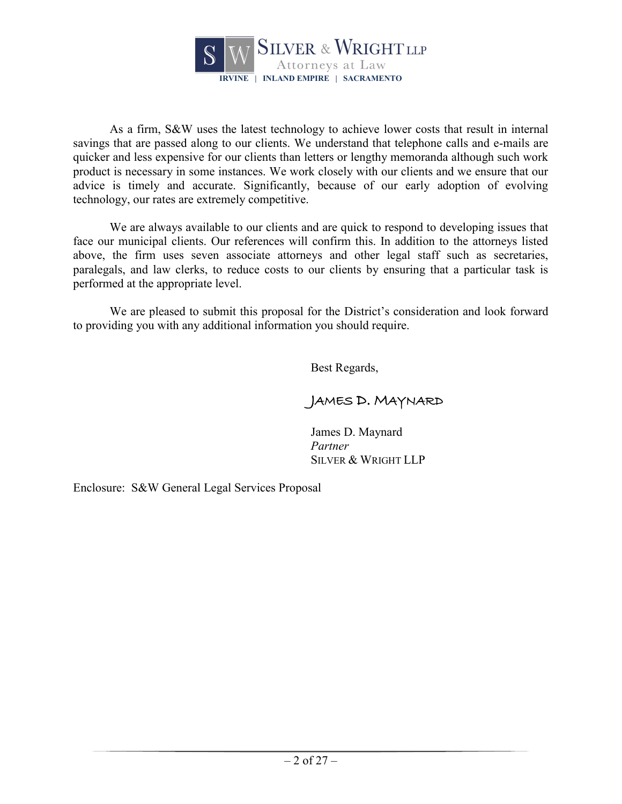

As a firm, S&W uses the latest technology to achieve lower costs that result in internal savings that are passed along to our clients. We understand that telephone calls and e-mails are quicker and less expensive for our clients than letters or lengthy memoranda although such work product is necessary in some instances. We work closely with our clients and we ensure that our advice is timely and accurate. Significantly, because of our early adoption of evolving technology, our rates are extremely competitive.

We are always available to our clients and are quick to respond to developing issues that face our municipal clients. Our references will confirm this. In addition to the attorneys listed above, the firm uses seven associate attorneys and other legal staff such as secretaries, paralegals, and law clerks, to reduce costs to our clients by ensuring that a particular task is performed at the appropriate level.

We are pleased to submit this proposal for the District's consideration and look forward to providing you with any additional information you should require.

Best Regards,

# JAMES D. MAYNARD

James D. Maynard *Partner* SILVER & WRIGHT LLP

Enclosure: S&W General Legal Services Proposal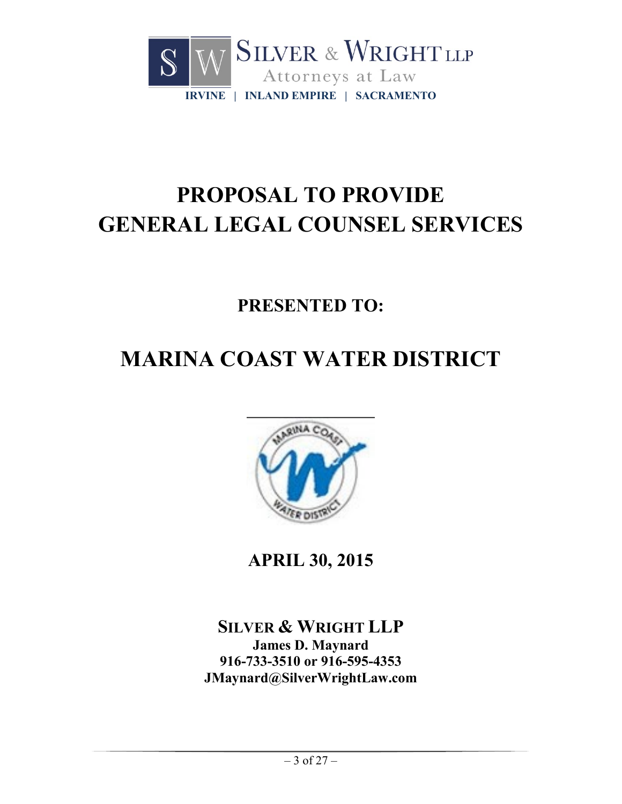

# **PROPOSAL TO PROVIDE GENERAL LEGAL COUNSEL SERVICES**

**PRESENTED TO:**

# **MARINA COAST WATER DISTRICT**



**APRIL 30, 2015**

**SILVER & WRIGHT LLP James D. Maynard 916-733-3510 or 916-595-4353 JMaynard@SilverWrightLaw.com**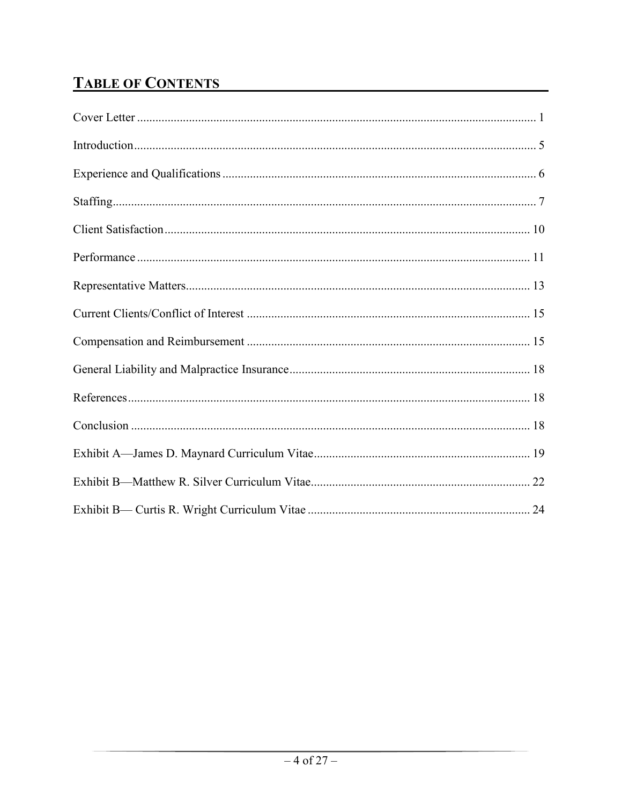# **TABLE OF CONTENTS**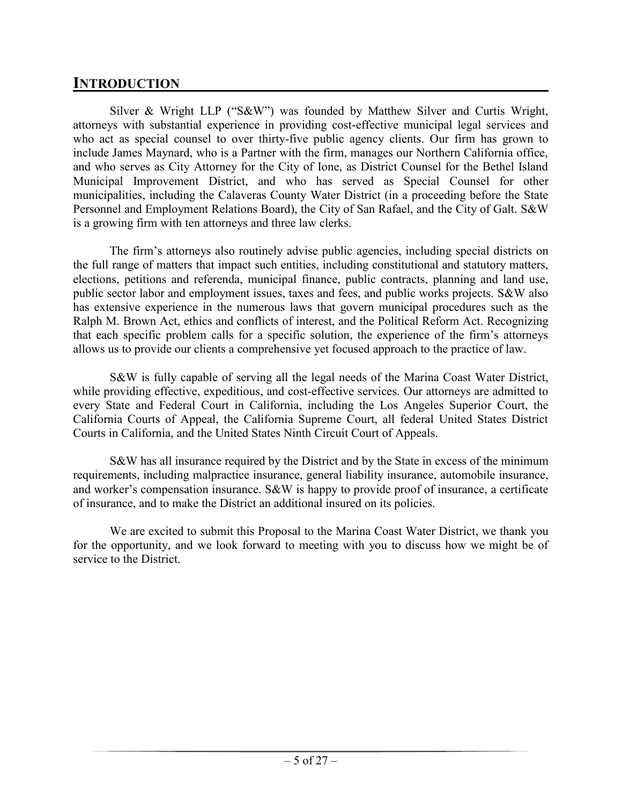# **INTRODUCTION**

Silver & Wright LLP ("S&W") was founded by Matthew Silver and Curtis Wright, attorneys with substantial experience in providing cost-effective municipal legal services and who act as special counsel to over thirty-five public agency clients. Our firm has grown to include James Maynard, who is a Partner with the firm, manages our Northern California office, and who serves as City Attorney for the City of Ione, as District Counsel for the Bethel Island Municipal Improvement District, and who has served as Special Counsel for other municipalities, including the Calaveras County Water District (in a proceeding before the State Personnel and Employment Relations Board), the City of San Rafael, and the City of Galt. S&W is a growing firm with ten attorneys and three law clerks.

The firm's attorneys also routinely advise public agencies, including special districts on the full range of matters that impact such entities, including constitutional and statutory matters, elections, petitions and referenda, municipal finance, public contracts, planning and land use, public sector labor and employment issues, taxes and fees, and public works projects. S&W also has extensive experience in the numerous laws that govern municipal procedures such as the Ralph M. Brown Act, ethics and conflicts of interest, and the Political Reform Act. Recognizing that each specific problem calls for a specific solution, the experience of the firm's attorneys allows us to provide our clients a comprehensive yet focused approach to the practice of law.

S&W is fully capable of serving all the legal needs of the Marina Coast Water District, while providing effective, expeditious, and cost-effective services. Our attorneys are admitted to every State and Federal Court in California, including the Los Angeles Superior Court, the California Courts of Appeal, the California Supreme Court, all federal United States District Courts in California, and the United States Ninth Circuit Court of Appeals.

S&W has all insurance required by the District and by the State in excess of the minimum requirements, including malpractice insurance, general liability insurance, automobile insurance, and worker's compensation insurance. S&W is happy to provide proof of insurance, a certificate of insurance, and to make the District an additional insured on its policies.

We are excited to submit this Proposal to the Marina Coast Water District, we thank you for the opportunity, and we look forward to meeting with you to discuss how we might be of service to the District.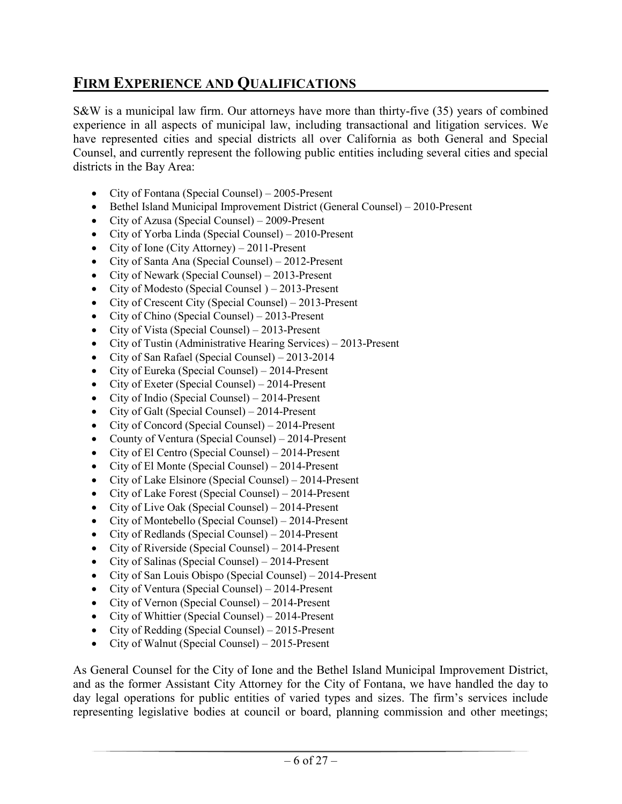# **FIRM EXPERIENCE AND QUALIFICATIONS**

S&W is a municipal law firm. Our attorneys have more than thirty-five (35) years of combined experience in all aspects of municipal law, including transactional and litigation services. We have represented cities and special districts all over California as both General and Special Counsel, and currently represent the following public entities including several cities and special districts in the Bay Area:

- City of Fontana (Special Counsel) 2005-Present
- Bethel Island Municipal Improvement District (General Counsel) 2010-Present
- City of Azusa (Special Counsel) 2009-Present
- City of Yorba Linda (Special Counsel) 2010-Present
- City of Ione (City Attorney) 2011-Present
- City of Santa Ana (Special Counsel) 2012-Present
- City of Newark (Special Counsel) 2013-Present
- City of Modesto (Special Counsel) 2013-Present
- City of Crescent City (Special Counsel) 2013-Present
- City of Chino (Special Counsel) 2013-Present
- City of Vista (Special Counsel) 2013-Present
- City of Tustin (Administrative Hearing Services) 2013-Present
- City of San Rafael (Special Counsel) 2013-2014
- City of Eureka (Special Counsel) 2014-Present
- City of Exeter (Special Counsel) 2014-Present
- City of Indio (Special Counsel) 2014-Present
- City of Galt (Special Counsel) 2014-Present
- City of Concord (Special Counsel) 2014-Present
- County of Ventura (Special Counsel) 2014-Present
- City of El Centro (Special Counsel) 2014-Present
- City of El Monte (Special Counsel) 2014-Present
- City of Lake Elsinore (Special Counsel) 2014-Present
- City of Lake Forest (Special Counsel) 2014-Present
- City of Live Oak (Special Counsel) 2014-Present
- City of Montebello (Special Counsel) 2014-Present
- City of Redlands (Special Counsel) 2014-Present
- City of Riverside (Special Counsel) 2014-Present
- City of Salinas (Special Counsel) 2014-Present
- City of San Louis Obispo (Special Counsel) 2014-Present
- City of Ventura (Special Counsel) 2014-Present
- City of Vernon (Special Counsel) 2014-Present
- City of Whittier (Special Counsel) 2014-Present
- City of Redding (Special Counsel) 2015-Present
- City of Walnut (Special Counsel) 2015-Present

As General Counsel for the City of Ione and the Bethel Island Municipal Improvement District, and as the former Assistant City Attorney for the City of Fontana, we have handled the day to day legal operations for public entities of varied types and sizes. The firm's services include representing legislative bodies at council or board, planning commission and other meetings;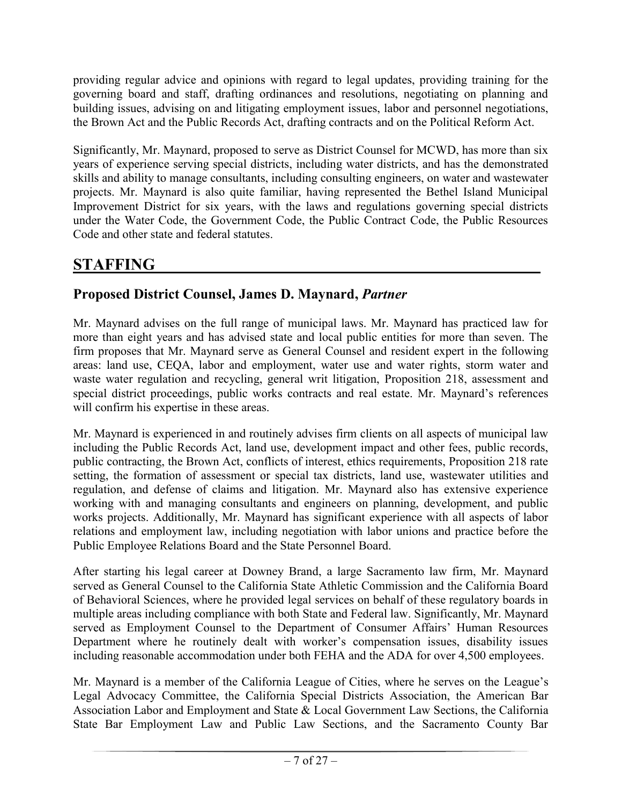providing regular advice and opinions with regard to legal updates, providing training for the governing board and staff, drafting ordinances and resolutions, negotiating on planning and building issues, advising on and litigating employment issues, labor and personnel negotiations, the Brown Act and the Public Records Act, drafting contracts and on the Political Reform Act.

Significantly, Mr. Maynard, proposed to serve as District Counsel for MCWD, has more than six years of experience serving special districts, including water districts, and has the demonstrated skills and ability to manage consultants, including consulting engineers, on water and wastewater projects. Mr. Maynard is also quite familiar, having represented the Bethel Island Municipal Improvement District for six years, with the laws and regulations governing special districts under the Water Code, the Government Code, the Public Contract Code, the Public Resources Code and other state and federal statutes.

# **STAFFING \_\_\_\_\_\_\_\_\_\_\_\_\_\_\_\_\_\_\_\_\_\_\_\_\_\_\_\_\_\_\_\_\_\_\_\_\_\_\_\_\_\_\_\_\_\_\_**

# **Proposed District Counsel, James D. Maynard,** *Partner*

Mr. Maynard advises on the full range of municipal laws. Mr. Maynard has practiced law for more than eight years and has advised state and local public entities for more than seven. The firm proposes that Mr. Maynard serve as General Counsel and resident expert in the following areas: land use, CEQA, labor and employment, water use and water rights, storm water and waste water regulation and recycling, general writ litigation, Proposition 218, assessment and special district proceedings, public works contracts and real estate. Mr. Maynard's references will confirm his expertise in these areas.

Mr. Maynard is experienced in and routinely advises firm clients on all aspects of municipal law including the Public Records Act, land use, development impact and other fees, public records, public contracting, the Brown Act, conflicts of interest, ethics requirements, Proposition 218 rate setting, the formation of assessment or special tax districts, land use, wastewater utilities and regulation, and defense of claims and litigation. Mr. Maynard also has extensive experience working with and managing consultants and engineers on planning, development, and public works projects. Additionally, Mr. Maynard has significant experience with all aspects of labor relations and employment law, including negotiation with labor unions and practice before the Public Employee Relations Board and the State Personnel Board.

After starting his legal career at Downey Brand, a large Sacramento law firm, Mr. Maynard served as General Counsel to the California State Athletic Commission and the California Board of Behavioral Sciences, where he provided legal services on behalf of these regulatory boards in multiple areas including compliance with both State and Federal law. Significantly, Mr. Maynard served as Employment Counsel to the Department of Consumer Affairs' Human Resources Department where he routinely dealt with worker's compensation issues, disability issues including reasonable accommodation under both FEHA and the ADA for over 4,500 employees.

Mr. Maynard is a member of the California League of Cities, where he serves on the League's Legal Advocacy Committee, the California Special Districts Association, the American Bar Association Labor and Employment and State & Local Government Law Sections, the California State Bar Employment Law and Public Law Sections, and the Sacramento County Bar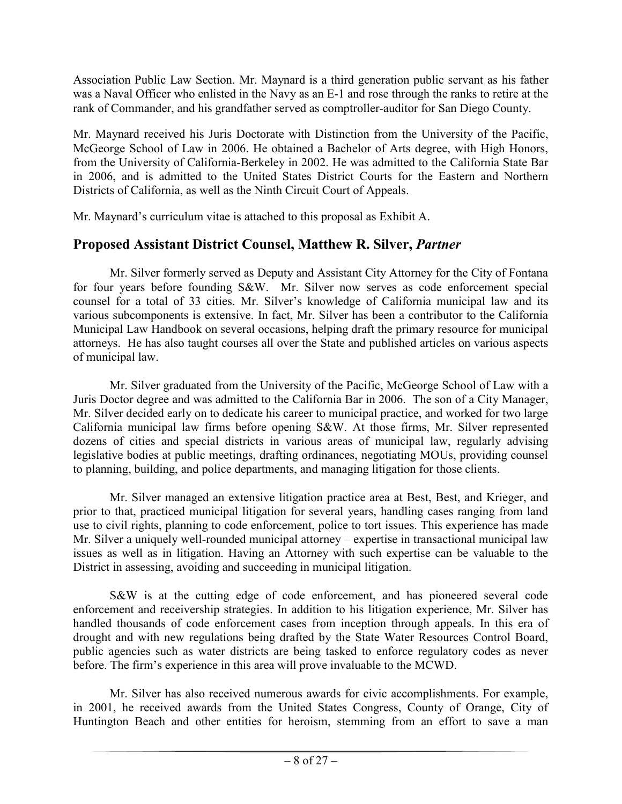Association Public Law Section. Mr. Maynard is a third generation public servant as his father was a Naval Officer who enlisted in the Navy as an E-1 and rose through the ranks to retire at the rank of Commander, and his grandfather served as comptroller-auditor for San Diego County.

Mr. Maynard received his Juris Doctorate with Distinction from the University of the Pacific, McGeorge School of Law in 2006. He obtained a Bachelor of Arts degree, with High Honors, from the University of California-Berkeley in 2002. He was admitted to the California State Bar in 2006, and is admitted to the United States District Courts for the Eastern and Northern Districts of California, as well as the Ninth Circuit Court of Appeals.

Mr. Maynard's curriculum vitae is attached to this proposal as Exhibit A.

# **Proposed Assistant District Counsel, Matthew R. Silver,** *Partner*

Mr. Silver formerly served as Deputy and Assistant City Attorney for the City of Fontana for four years before founding S&W. Mr. Silver now serves as code enforcement special counsel for a total of 33 cities. Mr. Silver's knowledge of California municipal law and its various subcomponents is extensive. In fact, Mr. Silver has been a contributor to the California Municipal Law Handbook on several occasions, helping draft the primary resource for municipal attorneys. He has also taught courses all over the State and published articles on various aspects of municipal law.

Mr. Silver graduated from the University of the Pacific, McGeorge School of Law with a Juris Doctor degree and was admitted to the California Bar in 2006. The son of a City Manager, Mr. Silver decided early on to dedicate his career to municipal practice, and worked for two large California municipal law firms before opening S&W. At those firms, Mr. Silver represented dozens of cities and special districts in various areas of municipal law, regularly advising legislative bodies at public meetings, drafting ordinances, negotiating MOUs, providing counsel to planning, building, and police departments, and managing litigation for those clients.

Mr. Silver managed an extensive litigation practice area at Best, Best, and Krieger, and prior to that, practiced municipal litigation for several years, handling cases ranging from land use to civil rights, planning to code enforcement, police to tort issues. This experience has made Mr. Silver a uniquely well-rounded municipal attorney – expertise in transactional municipal law issues as well as in litigation. Having an Attorney with such expertise can be valuable to the District in assessing, avoiding and succeeding in municipal litigation.

S&W is at the cutting edge of code enforcement, and has pioneered several code enforcement and receivership strategies. In addition to his litigation experience, Mr. Silver has handled thousands of code enforcement cases from inception through appeals. In this era of drought and with new regulations being drafted by the State Water Resources Control Board, public agencies such as water districts are being tasked to enforce regulatory codes as never before. The firm's experience in this area will prove invaluable to the MCWD.

Mr. Silver has also received numerous awards for civic accomplishments. For example, in 2001, he received awards from the United States Congress, County of Orange, City of Huntington Beach and other entities for heroism, stemming from an effort to save a man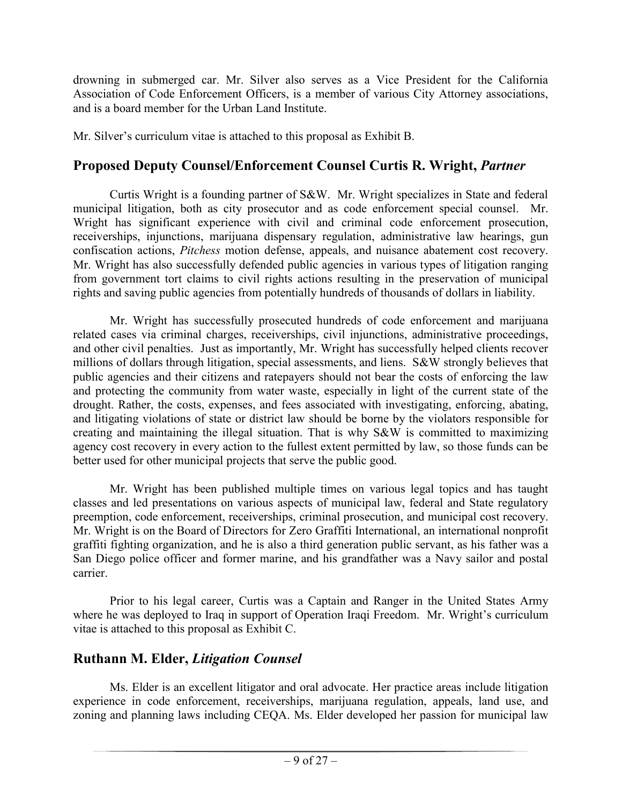drowning in submerged car. Mr. Silver also serves as a Vice President for the California Association of Code Enforcement Officers, is a member of various City Attorney associations, and is a board member for the Urban Land Institute.

Mr. Silver's curriculum vitae is attached to this proposal as Exhibit B.

# **Proposed Deputy Counsel/Enforcement Counsel Curtis R. Wright,** *Partner*

Curtis Wright is a founding partner of S&W. Mr. Wright specializes in State and federal municipal litigation, both as city prosecutor and as code enforcement special counsel. Mr. Wright has significant experience with civil and criminal code enforcement prosecution, receiverships, injunctions, marijuana dispensary regulation, administrative law hearings, gun confiscation actions, *Pitchess* motion defense, appeals, and nuisance abatement cost recovery. Mr. Wright has also successfully defended public agencies in various types of litigation ranging from government tort claims to civil rights actions resulting in the preservation of municipal rights and saving public agencies from potentially hundreds of thousands of dollars in liability.

Mr. Wright has successfully prosecuted hundreds of code enforcement and marijuana related cases via criminal charges, receiverships, civil injunctions, administrative proceedings, and other civil penalties. Just as importantly, Mr. Wright has successfully helped clients recover millions of dollars through litigation, special assessments, and liens. S&W strongly believes that public agencies and their citizens and ratepayers should not bear the costs of enforcing the law and protecting the community from water waste, especially in light of the current state of the drought. Rather, the costs, expenses, and fees associated with investigating, enforcing, abating, and litigating violations of state or district law should be borne by the violators responsible for creating and maintaining the illegal situation. That is why S&W is committed to maximizing agency cost recovery in every action to the fullest extent permitted by law, so those funds can be better used for other municipal projects that serve the public good.

Mr. Wright has been published multiple times on various legal topics and has taught classes and led presentations on various aspects of municipal law, federal and State regulatory preemption, code enforcement, receiverships, criminal prosecution, and municipal cost recovery. Mr. Wright is on the Board of Directors for Zero Graffiti International, an international nonprofit graffiti fighting organization, and he is also a third generation public servant, as his father was a San Diego police officer and former marine, and his grandfather was a Navy sailor and postal carrier.

Prior to his legal career, Curtis was a Captain and Ranger in the United States Army where he was deployed to Iraq in support of Operation Iraqi Freedom. Mr. Wright's curriculum vitae is attached to this proposal as Exhibit C.

# **Ruthann M. Elder,** *Litigation Counsel*

Ms. Elder is an excellent litigator and oral advocate. Her practice areas include litigation experience in code enforcement, receiverships, marijuana regulation, appeals, land use, and zoning and planning laws including CEQA. Ms. Elder developed her passion for municipal law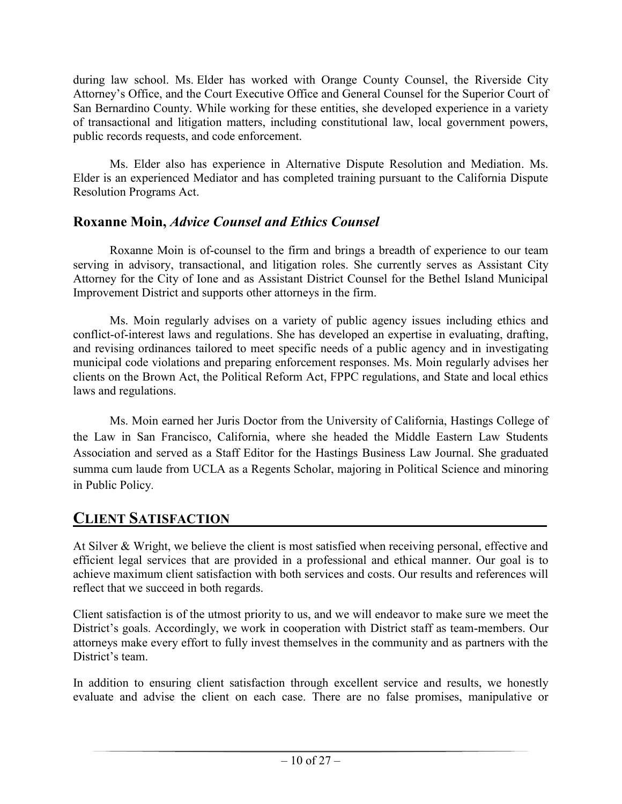during law school. Ms. Elder has worked with Orange County Counsel, the Riverside City Attorney's Office, and the Court Executive Office and General Counsel for the Superior Court of San Bernardino County. While working for these entities, she developed experience in a variety of transactional and litigation matters, including constitutional law, local government powers, public records requests, and code enforcement.

Ms. Elder also has experience in Alternative Dispute Resolution and Mediation. Ms. Elder is an experienced Mediator and has completed training pursuant to the California Dispute Resolution Programs Act.

# **Roxanne Moin,** *Advice Counsel and Ethics Counsel*

Roxanne Moin is of-counsel to the firm and brings a breadth of experience to our team serving in advisory, transactional, and litigation roles. She currently serves as Assistant City Attorney for the City of Ione and as Assistant District Counsel for the Bethel Island Municipal Improvement District and supports other attorneys in the firm.

Ms. Moin regularly advises on a variety of public agency issues including ethics and conflict-of-interest laws and regulations. She has developed an expertise in evaluating, drafting, and revising ordinances tailored to meet specific needs of a public agency and in investigating municipal code violations and preparing enforcement responses. Ms. Moin regularly advises her clients on the Brown Act, the Political Reform Act, FPPC regulations, and State and local ethics laws and regulations.

Ms. Moin earned her Juris Doctor from the University of California, Hastings College of the Law in San Francisco, California, where she headed the Middle Eastern Law Students Association and served as a Staff Editor for the Hastings Business Law Journal. She graduated summa cum laude from UCLA as a Regents Scholar, majoring in Political Science and minoring in Public Policy.

# **CLIENT SATISFACTION\_\_\_\_\_\_\_\_\_\_\_\_\_\_\_\_\_\_\_\_\_\_\_\_\_\_\_\_\_\_\_\_\_\_\_\_\_\_\_**

At Silver & Wright, we believe the client is most satisfied when receiving personal, effective and efficient legal services that are provided in a professional and ethical manner. Our goal is to achieve maximum client satisfaction with both services and costs. Our results and references will reflect that we succeed in both regards.

Client satisfaction is of the utmost priority to us, and we will endeavor to make sure we meet the District's goals. Accordingly, we work in cooperation with District staff as team-members. Our attorneys make every effort to fully invest themselves in the community and as partners with the District's team.

In addition to ensuring client satisfaction through excellent service and results, we honestly evaluate and advise the client on each case. There are no false promises, manipulative or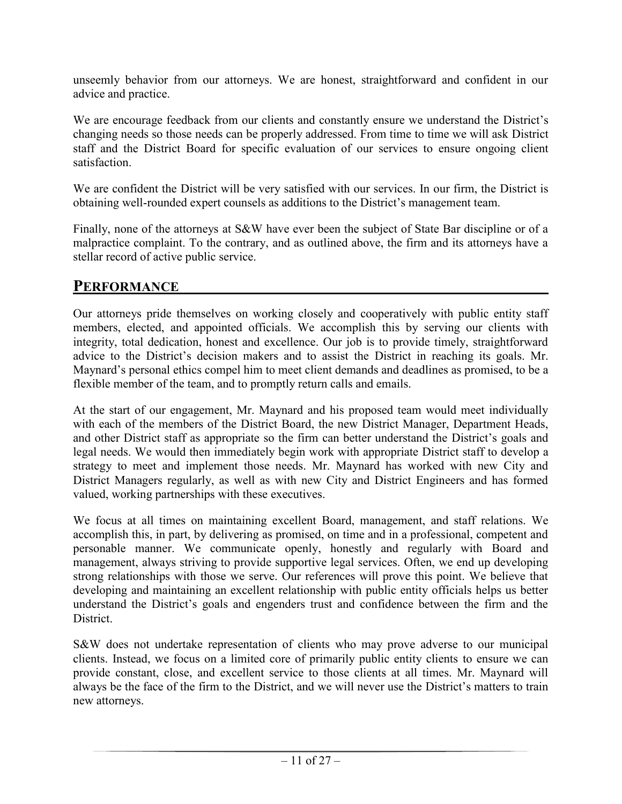unseemly behavior from our attorneys. We are honest, straightforward and confident in our advice and practice.

We are encourage feedback from our clients and constantly ensure we understand the District's changing needs so those needs can be properly addressed. From time to time we will ask District staff and the District Board for specific evaluation of our services to ensure ongoing client satisfaction.

We are confident the District will be very satisfied with our services. In our firm, the District is obtaining well-rounded expert counsels as additions to the District's management team.

Finally, none of the attorneys at S&W have ever been the subject of State Bar discipline or of a malpractice complaint. To the contrary, and as outlined above, the firm and its attorneys have a stellar record of active public service.

# **PERFORMANCE**

Our attorneys pride themselves on working closely and cooperatively with public entity staff members, elected, and appointed officials. We accomplish this by serving our clients with integrity, total dedication, honest and excellence. Our job is to provide timely, straightforward advice to the District's decision makers and to assist the District in reaching its goals. Mr. Maynard's personal ethics compel him to meet client demands and deadlines as promised, to be a flexible member of the team, and to promptly return calls and emails.

At the start of our engagement, Mr. Maynard and his proposed team would meet individually with each of the members of the District Board, the new District Manager, Department Heads, and other District staff as appropriate so the firm can better understand the District's goals and legal needs. We would then immediately begin work with appropriate District staff to develop a strategy to meet and implement those needs. Mr. Maynard has worked with new City and District Managers regularly, as well as with new City and District Engineers and has formed valued, working partnerships with these executives.

We focus at all times on maintaining excellent Board, management, and staff relations. We accomplish this, in part, by delivering as promised, on time and in a professional, competent and personable manner. We communicate openly, honestly and regularly with Board and management, always striving to provide supportive legal services. Often, we end up developing strong relationships with those we serve. Our references will prove this point. We believe that developing and maintaining an excellent relationship with public entity officials helps us better understand the District's goals and engenders trust and confidence between the firm and the District.

S&W does not undertake representation of clients who may prove adverse to our municipal clients. Instead, we focus on a limited core of primarily public entity clients to ensure we can provide constant, close, and excellent service to those clients at all times. Mr. Maynard will always be the face of the firm to the District, and we will never use the District's matters to train new attorneys.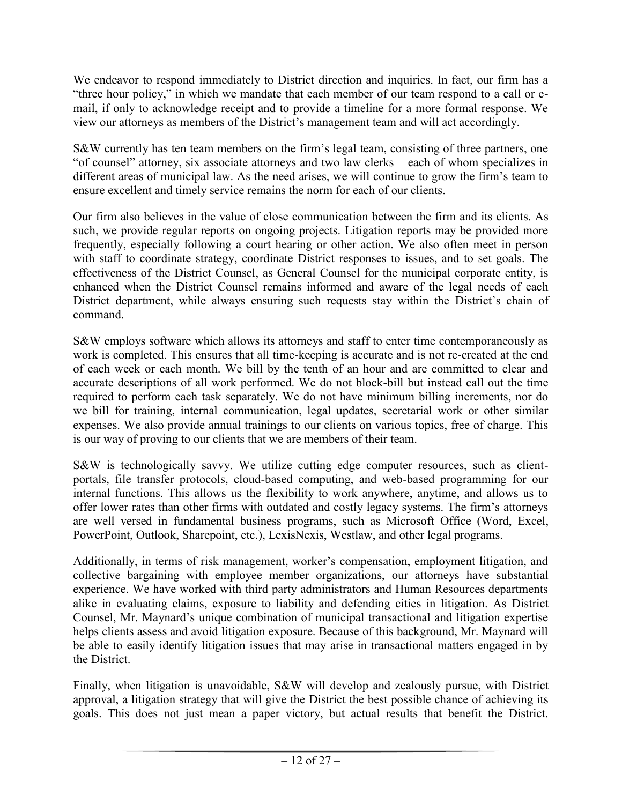We endeavor to respond immediately to District direction and inquiries. In fact, our firm has a "three hour policy," in which we mandate that each member of our team respond to a call or email, if only to acknowledge receipt and to provide a timeline for a more formal response. We view our attorneys as members of the District's management team and will act accordingly.

S&W currently has ten team members on the firm's legal team, consisting of three partners, one "of counsel" attorney, six associate attorneys and two law clerks – each of whom specializes in different areas of municipal law. As the need arises, we will continue to grow the firm's team to ensure excellent and timely service remains the norm for each of our clients.

Our firm also believes in the value of close communication between the firm and its clients. As such, we provide regular reports on ongoing projects. Litigation reports may be provided more frequently, especially following a court hearing or other action. We also often meet in person with staff to coordinate strategy, coordinate District responses to issues, and to set goals. The effectiveness of the District Counsel, as General Counsel for the municipal corporate entity, is enhanced when the District Counsel remains informed and aware of the legal needs of each District department, while always ensuring such requests stay within the District's chain of command.

S&W employs software which allows its attorneys and staff to enter time contemporaneously as work is completed. This ensures that all time-keeping is accurate and is not re-created at the end of each week or each month. We bill by the tenth of an hour and are committed to clear and accurate descriptions of all work performed. We do not block-bill but instead call out the time required to perform each task separately. We do not have minimum billing increments, nor do we bill for training, internal communication, legal updates, secretarial work or other similar expenses. We also provide annual trainings to our clients on various topics, free of charge. This is our way of proving to our clients that we are members of their team.

S&W is technologically savvy. We utilize cutting edge computer resources, such as clientportals, file transfer protocols, cloud-based computing, and web-based programming for our internal functions. This allows us the flexibility to work anywhere, anytime, and allows us to offer lower rates than other firms with outdated and costly legacy systems. The firm's attorneys are well versed in fundamental business programs, such as Microsoft Office (Word, Excel, PowerPoint, Outlook, Sharepoint, etc.), LexisNexis, Westlaw, and other legal programs.

Additionally, in terms of risk management, worker's compensation, employment litigation, and collective bargaining with employee member organizations, our attorneys have substantial experience. We have worked with third party administrators and Human Resources departments alike in evaluating claims, exposure to liability and defending cities in litigation. As District Counsel, Mr. Maynard's unique combination of municipal transactional and litigation expertise helps clients assess and avoid litigation exposure. Because of this background, Mr. Maynard will be able to easily identify litigation issues that may arise in transactional matters engaged in by the District.

Finally, when litigation is unavoidable, S&W will develop and zealously pursue, with District approval, a litigation strategy that will give the District the best possible chance of achieving its goals. This does not just mean a paper victory, but actual results that benefit the District.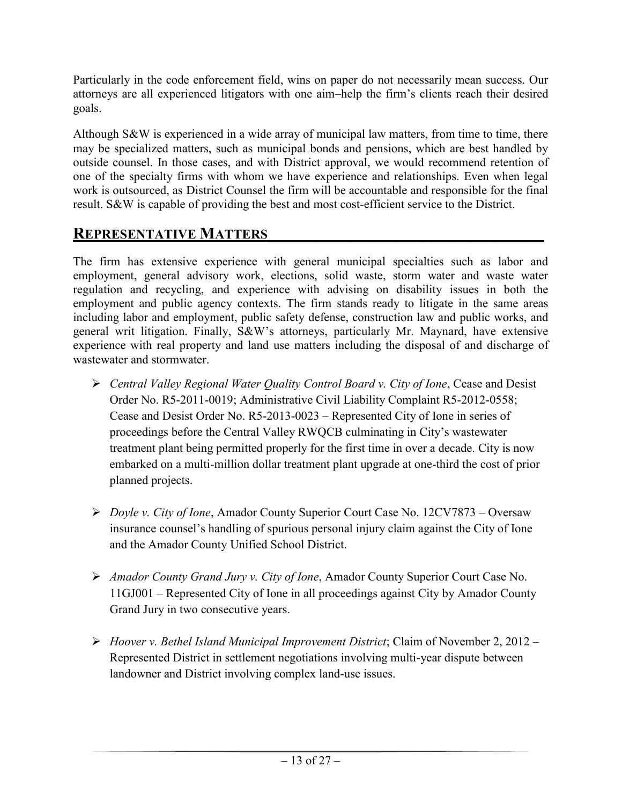Particularly in the code enforcement field, wins on paper do not necessarily mean success. Our attorneys are all experienced litigators with one aim–help the firm's clients reach their desired goals.

Although S&W is experienced in a wide array of municipal law matters, from time to time, there may be specialized matters, such as municipal bonds and pensions, which are best handled by outside counsel. In those cases, and with District approval, we would recommend retention of one of the specialty firms with whom we have experience and relationships. Even when legal work is outsourced, as District Counsel the firm will be accountable and responsible for the final result. S&W is capable of providing the best and most cost-efficient service to the District.

# **REPRESENTATIVE MATTERS\_\_\_\_\_\_\_\_\_\_\_\_\_\_\_\_\_\_\_\_\_\_\_\_\_\_\_\_\_\_\_\_\_\_**

The firm has extensive experience with general municipal specialties such as labor and employment, general advisory work, elections, solid waste, storm water and waste water regulation and recycling, and experience with advising on disability issues in both the employment and public agency contexts. The firm stands ready to litigate in the same areas including labor and employment, public safety defense, construction law and public works, and general writ litigation. Finally, S&W's attorneys, particularly Mr. Maynard, have extensive experience with real property and land use matters including the disposal of and discharge of wastewater and stormwater.

- *Central Valley Regional Water Quality Control Board v. City of Ione*, Cease and Desist Order No. R5-2011-0019; Administrative Civil Liability Complaint R5-2012-0558; Cease and Desist Order No. R5-2013-0023 – Represented City of Ione in series of proceedings before the Central Valley RWQCB culminating in City's wastewater treatment plant being permitted properly for the first time in over a decade. City is now embarked on a multi-million dollar treatment plant upgrade at one-third the cost of prior planned projects.
- *Doyle v. City of Ione*, Amador County Superior Court Case No. 12CV7873 Oversaw insurance counsel's handling of spurious personal injury claim against the City of Ione and the Amador County Unified School District.
- *Amador County Grand Jury v. City of Ione*, Amador County Superior Court Case No. 11GJ001 – Represented City of Ione in all proceedings against City by Amador County Grand Jury in two consecutive years.
- *Hoover v. Bethel Island Municipal Improvement District*; Claim of November 2, 2012 Represented District in settlement negotiations involving multi-year dispute between landowner and District involving complex land-use issues.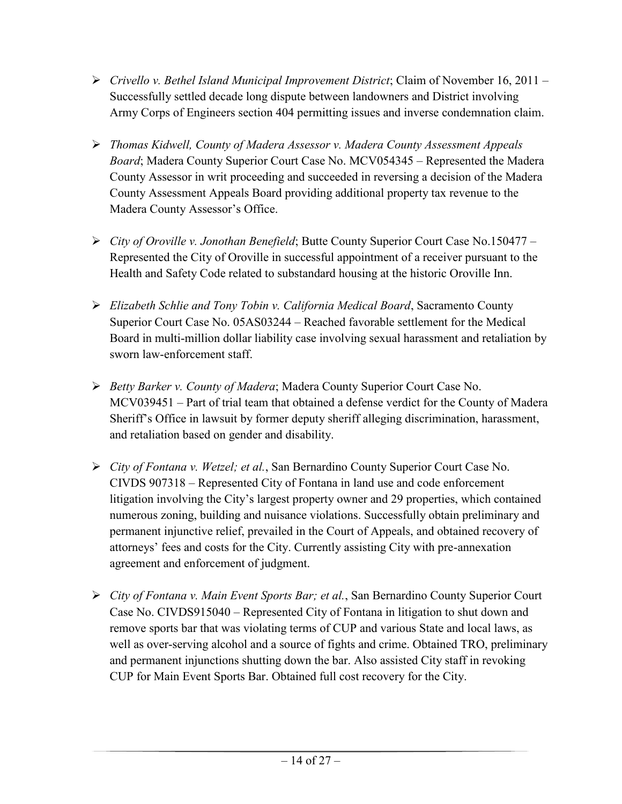- *Crivello v. Bethel Island Municipal Improvement District*; Claim of November 16, 2011 Successfully settled decade long dispute between landowners and District involving Army Corps of Engineers section 404 permitting issues and inverse condemnation claim.
- *Thomas Kidwell, County of Madera Assessor v. Madera County Assessment Appeals Board*; Madera County Superior Court Case No. MCV054345 – Represented the Madera County Assessor in writ proceeding and succeeded in reversing a decision of the Madera County Assessment Appeals Board providing additional property tax revenue to the Madera County Assessor's Office.
- *City of Oroville v. Jonothan Benefield*; Butte County Superior Court Case No.150477 Represented the City of Oroville in successful appointment of a receiver pursuant to the Health and Safety Code related to substandard housing at the historic Oroville Inn.
- *Elizabeth Schlie and Tony Tobin v. California Medical Board*, Sacramento County Superior Court Case No. 05AS03244 – Reached favorable settlement for the Medical Board in multi-million dollar liability case involving sexual harassment and retaliation by sworn law-enforcement staff.
- *Betty Barker v. County of Madera*; Madera County Superior Court Case No. MCV039451 – Part of trial team that obtained a defense verdict for the County of Madera Sheriff's Office in lawsuit by former deputy sheriff alleging discrimination, harassment, and retaliation based on gender and disability.
- *City of Fontana v. Wetzel; et al.*, San Bernardino County Superior Court Case No. CIVDS 907318 – Represented City of Fontana in land use and code enforcement litigation involving the City's largest property owner and 29 properties, which contained numerous zoning, building and nuisance violations. Successfully obtain preliminary and permanent injunctive relief, prevailed in the Court of Appeals, and obtained recovery of attorneys' fees and costs for the City. Currently assisting City with pre-annexation agreement and enforcement of judgment.
- *City of Fontana v. Main Event Sports Bar; et al.*, San Bernardino County Superior Court Case No. CIVDS915040 – Represented City of Fontana in litigation to shut down and remove sports bar that was violating terms of CUP and various State and local laws, as well as over-serving alcohol and a source of fights and crime. Obtained TRO, preliminary and permanent injunctions shutting down the bar. Also assisted City staff in revoking CUP for Main Event Sports Bar. Obtained full cost recovery for the City.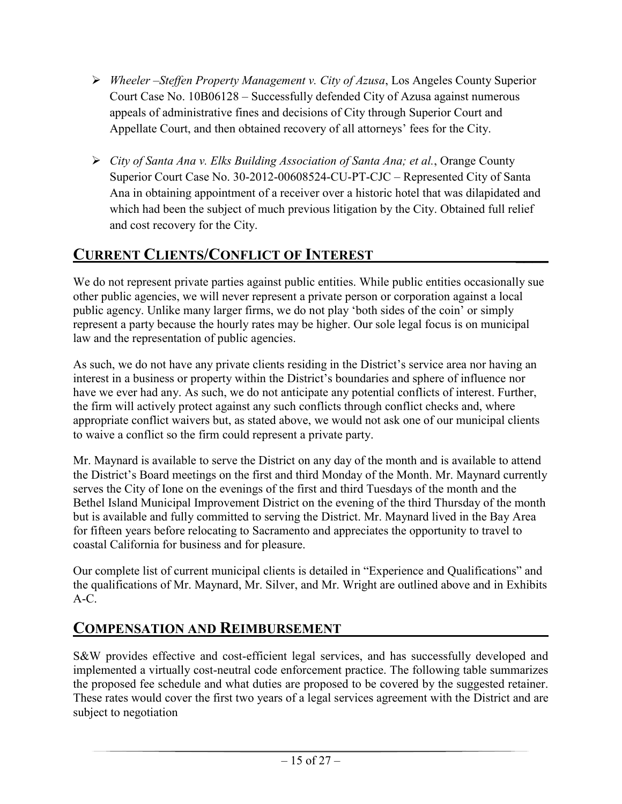- *Wheeler –Steffen Property Management v. City of Azusa*, Los Angeles County Superior Court Case No. 10B06128 – Successfully defended City of Azusa against numerous appeals of administrative fines and decisions of City through Superior Court and Appellate Court, and then obtained recovery of all attorneys' fees for the City.
- *City of Santa Ana v. Elks Building Association of Santa Ana; et al.*, Orange County Superior Court Case No. 30-2012-00608524-CU-PT-CJC – Represented City of Santa Ana in obtaining appointment of a receiver over a historic hotel that was dilapidated and which had been the subject of much previous litigation by the City. Obtained full relief and cost recovery for the City.

# **CURRENT CLIENTS/CONFLICT OF INTEREST \_\_\_\_**

We do not represent private parties against public entities. While public entities occasionally sue other public agencies, we will never represent a private person or corporation against a local public agency. Unlike many larger firms, we do not play 'both sides of the coin' or simply represent a party because the hourly rates may be higher. Our sole legal focus is on municipal law and the representation of public agencies.

As such, we do not have any private clients residing in the District's service area nor having an interest in a business or property within the District's boundaries and sphere of influence nor have we ever had any. As such, we do not anticipate any potential conflicts of interest. Further, the firm will actively protect against any such conflicts through conflict checks and, where appropriate conflict waivers but, as stated above, we would not ask one of our municipal clients to waive a conflict so the firm could represent a private party.

Mr. Maynard is available to serve the District on any day of the month and is available to attend the District's Board meetings on the first and third Monday of the Month. Mr. Maynard currently serves the City of Ione on the evenings of the first and third Tuesdays of the month and the Bethel Island Municipal Improvement District on the evening of the third Thursday of the month but is available and fully committed to serving the District. Mr. Maynard lived in the Bay Area for fifteen years before relocating to Sacramento and appreciates the opportunity to travel to coastal California for business and for pleasure.

Our complete list of current municipal clients is detailed in "Experience and Qualifications" and the qualifications of Mr. Maynard, Mr. Silver, and Mr. Wright are outlined above and in Exhibits A-C.

# **COMPENSATION AND REIMBURSEMENT**

S&W provides effective and cost-efficient legal services, and has successfully developed and implemented a virtually cost-neutral code enforcement practice. The following table summarizes the proposed fee schedule and what duties are proposed to be covered by the suggested retainer. These rates would cover the first two years of a legal services agreement with the District and are subject to negotiation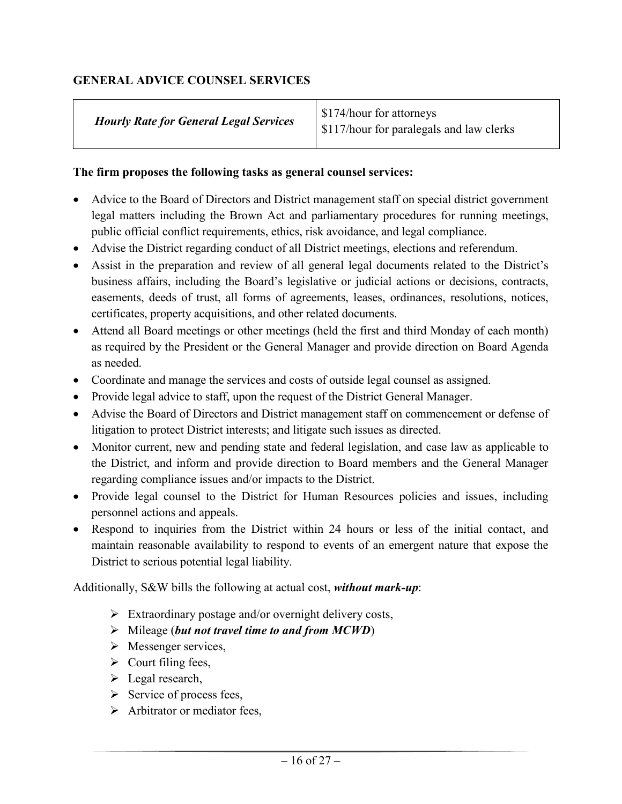#### **GENERAL ADVICE COUNSEL SERVICES**

| S174/hour for attorneys<br>  \$117/hour for paralegals and law clerks |
|-----------------------------------------------------------------------|
|                                                                       |

#### **The firm proposes the following tasks as general counsel services:**

- Advice to the Board of Directors and District management staff on special district government legal matters including the Brown Act and parliamentary procedures for running meetings, public official conflict requirements, ethics, risk avoidance, and legal compliance.
- Advise the District regarding conduct of all District meetings, elections and referendum.
- Assist in the preparation and review of all general legal documents related to the District's business affairs, including the Board's legislative or judicial actions or decisions, contracts, easements, deeds of trust, all forms of agreements, leases, ordinances, resolutions, notices, certificates, property acquisitions, and other related documents.
- Attend all Board meetings or other meetings (held the first and third Monday of each month) as required by the President or the General Manager and provide direction on Board Agenda as needed.
- Coordinate and manage the services and costs of outside legal counsel as assigned.
- Provide legal advice to staff, upon the request of the District General Manager.
- Advise the Board of Directors and District management staff on commencement or defense of litigation to protect District interests; and litigate such issues as directed.
- Monitor current, new and pending state and federal legislation, and case law as applicable to the District, and inform and provide direction to Board members and the General Manager regarding compliance issues and/or impacts to the District.
- Provide legal counsel to the District for Human Resources policies and issues, including personnel actions and appeals.
- Respond to inquiries from the District within 24 hours or less of the initial contact, and maintain reasonable availability to respond to events of an emergent nature that expose the District to serious potential legal liability.

Additionally, S&W bills the following at actual cost, *without mark-up*:

- $\triangleright$  Extraordinary postage and/or overnight delivery costs,
- Mileage (*but not travel time to and from MCWD*)
- > Messenger services,
- $\triangleright$  Court filing fees,
- $\blacktriangleright$  Legal research,
- $\triangleright$  Service of process fees,
- $\triangleright$  Arbitrator or mediator fees,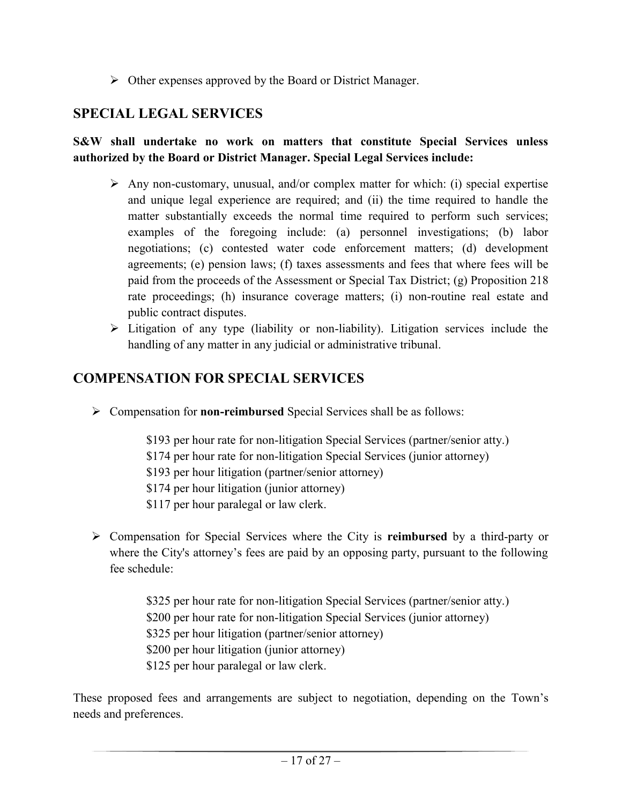$\triangleright$  Other expenses approved by the Board or District Manager.

# **SPECIAL LEGAL SERVICES**

#### **S&W shall undertake no work on matters that constitute Special Services unless authorized by the Board or District Manager. Special Legal Services include:**

- $\triangleright$  Any non-customary, unusual, and/or complex matter for which: (i) special expertise and unique legal experience are required; and (ii) the time required to handle the matter substantially exceeds the normal time required to perform such services; examples of the foregoing include: (a) personnel investigations; (b) labor negotiations; (c) contested water code enforcement matters; (d) development agreements; (e) pension laws; (f) taxes assessments and fees that where fees will be paid from the proceeds of the Assessment or Special Tax District; (g) Proposition 218 rate proceedings; (h) insurance coverage matters; (i) non-routine real estate and public contract disputes.
- $\triangleright$  Litigation of any type (liability or non-liability). Litigation services include the handling of any matter in any judicial or administrative tribunal.

# **COMPENSATION FOR SPECIAL SERVICES**

Compensation for **non-reimbursed** Special Services shall be as follows:

\$193 per hour rate for non-litigation Special Services (partner/senior atty.) \$174 per hour rate for non-litigation Special Services (junior attorney) \$193 per hour litigation (partner/senior attorney) \$174 per hour litigation (junior attorney) \$117 per hour paralegal or law clerk.

 Compensation for Special Services where the City is **reimbursed** by a third-party or where the City's attorney's fees are paid by an opposing party, pursuant to the following fee schedule:

> \$325 per hour rate for non-litigation Special Services (partner/senior atty.) \$200 per hour rate for non-litigation Special Services (junior attorney) \$325 per hour litigation (partner/senior attorney) \$200 per hour litigation (junior attorney) \$125 per hour paralegal or law clerk.

These proposed fees and arrangements are subject to negotiation, depending on the Town's needs and preferences.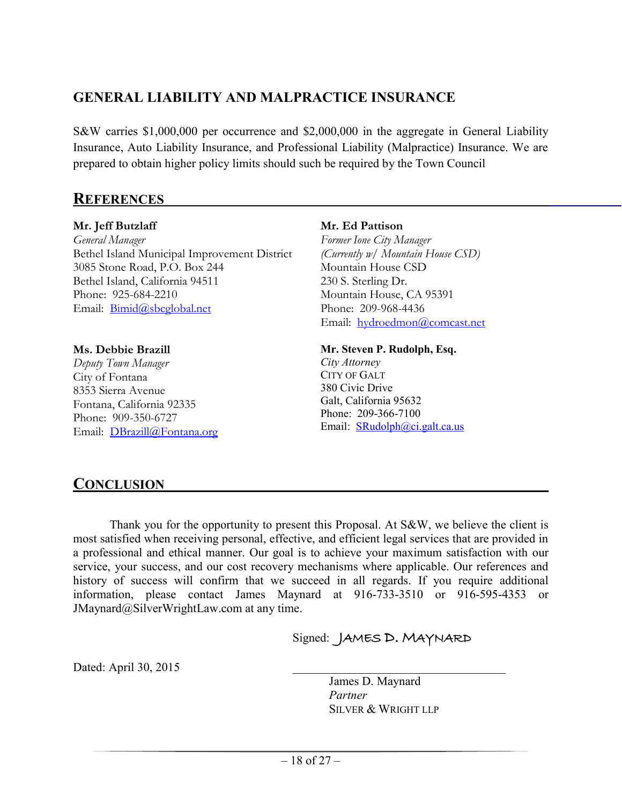# **GENERAL LIABILITY AND MALPRACTICE INSURANCE**

S&W carries \$1,000,000 per occurrence and \$2,000,000 in the aggregate in General Liability Insurance, Auto Liability Insurance, and Professional Liability (Malpractice) Insurance. We are prepared to obtain higher policy limits should such be required by the Town Council

## **REFERENCES**

#### **Mr. Jeff Butzlaff**

*General Manager* Bethel Island Municipal Improvement District 3085 Stone Road, P.O. Box 244 Bethel Island, California 94511 Phone: 925-684-2210 Email: [Bimid@sbcglobal.net](mailto:Bimid@sbcglobal.net)

#### **Ms. Debbie Brazill**

*Deputy Town Manager* City of Fontana 8353 Sierra Avenue Fontana, California 92335 Phone: 909-350-6727 Email: [DBrazill@Fontana.org](mailto:DBrazill@Fontana.org)

#### **Mr. Ed Pattison**

*Former Ione City Manager (Currently w/ Mountain House CSD)* Mountain House CSD 230 S. Sterling Dr. Mountain House, CA 95391 Phone: 209-968-4436 Email: [hydroedmon@comcast.net](mailto:hydroedmon@comcast.net)

#### **Mr. Steven P. Rudolph, Esq.**

*City Attorney* CITY OF GALT 380 Civic Drive Galt, California 95632 Phone: 209-366-7100 Email: [SRudolph@ci.galt.ca.us](mailto:SRudolph@ci.galt.ca.us)

# **CONCLUSION**

Thank you for the opportunity to present this Proposal. At S&W, we believe the client is most satisfied when receiving personal, effective, and efficient legal services that are provided in a professional and ethical manner. Our goal is to achieve your maximum satisfaction with our service, your success, and our cost recovery mechanisms where applicable. Our references and history of success will confirm that we succeed in all regards. If you require additional information, please contact James Maynard at 916-733-3510 or 916-595-4353 or JMaynard@SilverWrightLaw.com at any time.

Signed: JAMES D. MAYNARD

Dated: April 30, 2015

James D. Maynard *Partner* SILVER & WRIGHT LLP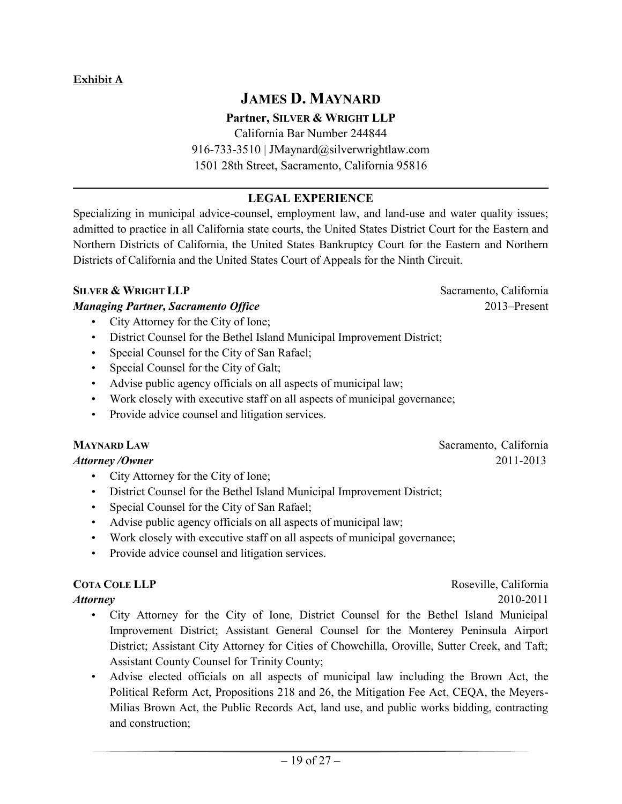# **JAMES D. MAYNARD**

#### **Partner, SILVER & WRIGHT LLP**

California Bar Number 244844 916-733-3510 | JMaynard@silverwrightlaw.com 1501 28th Street, Sacramento, California 95816

#### $\mathcal{L}_\mathcal{L} = \mathcal{L}_\mathcal{L} = \mathcal{L}_\mathcal{L} = \mathcal{L}_\mathcal{L} = \mathcal{L}_\mathcal{L} = \mathcal{L}_\mathcal{L} = \mathcal{L}_\mathcal{L} = \mathcal{L}_\mathcal{L} = \mathcal{L}_\mathcal{L} = \mathcal{L}_\mathcal{L} = \mathcal{L}_\mathcal{L} = \mathcal{L}_\mathcal{L} = \mathcal{L}_\mathcal{L} = \mathcal{L}_\mathcal{L} = \mathcal{L}_\mathcal{L} = \mathcal{L}_\mathcal{L} = \mathcal{L}_\mathcal{L}$ **LEGAL EXPERIENCE**

Specializing in municipal advice-counsel, employment law, and land-use and water quality issues; admitted to practice in all California state courts, the United States District Court for the Eastern and Northern Districts of California, the United States Bankruptcy Court for the Eastern and Northern Districts of California and the United States Court of Appeals for the Ninth Circuit.

#### **SILVER & WRIGHT LLP** Sacramento, California

#### *Managing Partner, Sacramento Office* 2013–Present

- City Attorney for the City of Ione;
- District Counsel for the Bethel Island Municipal Improvement District;
- Special Counsel for the City of San Rafael;
- Special Counsel for the City of Galt;
- Advise public agency officials on all aspects of municipal law;
- Work closely with executive staff on all aspects of municipal governance;
- Provide advice counsel and litigation services.

#### **MAYNARD LAW** Sacramento, California

#### *Attorney /Owner* 2011-2013

- City Attorney for the City of Ione;
- District Counsel for the Bethel Island Municipal Improvement District;
- Special Counsel for the City of San Rafael;
- Advise public agency officials on all aspects of municipal law;
- Work closely with executive staff on all aspects of municipal governance;
- Provide advice counsel and litigation services.

**COTA COLE LLP** Roseville, California

- *Attorney* 2010-2011
	- City Attorney for the City of Ione, District Counsel for the Bethel Island Municipal Improvement District; Assistant General Counsel for the Monterey Peninsula Airport District; Assistant City Attorney for Cities of Chowchilla, Oroville, Sutter Creek, and Taft; Assistant County Counsel for Trinity County;
	- Advise elected officials on all aspects of municipal law including the Brown Act, the Political Reform Act, Propositions 218 and 26, the Mitigation Fee Act, CEQA, the Meyers-Milias Brown Act, the Public Records Act, land use, and public works bidding, contracting and construction;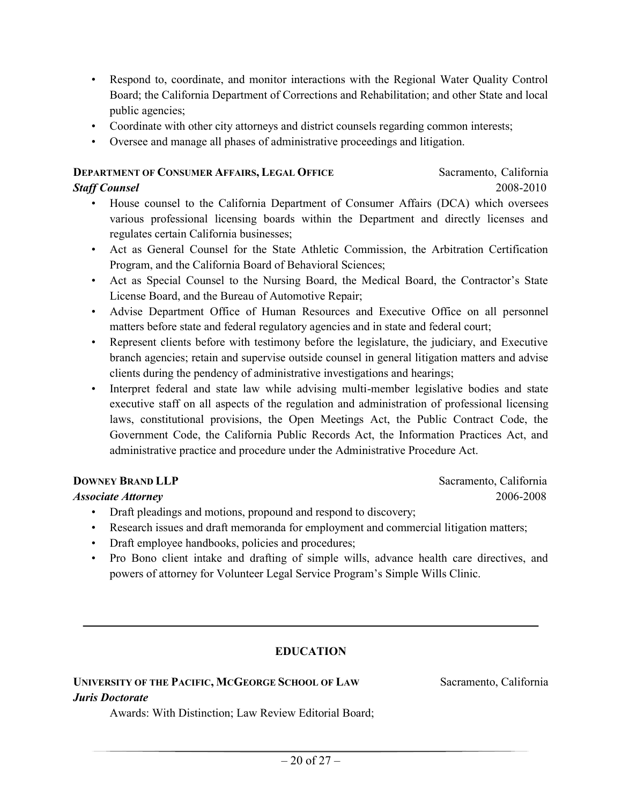- Respond to, coordinate, and monitor interactions with the Regional Water Quality Control Board; the California Department of Corrections and Rehabilitation; and other State and local public agencies;
- Coordinate with other city attorneys and district counsels regarding common interests;
- Oversee and manage all phases of administrative proceedings and litigation.

#### **DEPARTMENT OF CONSUMER AFFAIRS, LEGAL OFFICE** Sacramento, California

**Staff Counsel** 2008-2010

- House counsel to the California Department of Consumer Affairs (DCA) which oversees various professional licensing boards within the Department and directly licenses and regulates certain California businesses;
- Act as General Counsel for the State Athletic Commission, the Arbitration Certification Program, and the California Board of Behavioral Sciences;
- Act as Special Counsel to the Nursing Board, the Medical Board, the Contractor's State License Board, and the Bureau of Automotive Repair;
- Advise Department Office of Human Resources and Executive Office on all personnel matters before state and federal regulatory agencies and in state and federal court;
- Represent clients before with testimony before the legislature, the judiciary, and Executive branch agencies; retain and supervise outside counsel in general litigation matters and advise clients during the pendency of administrative investigations and hearings;
- Interpret federal and state law while advising multi-member legislative bodies and state executive staff on all aspects of the regulation and administration of professional licensing laws, constitutional provisions, the Open Meetings Act, the Public Contract Code, the Government Code, the California Public Records Act, the Information Practices Act, and administrative practice and procedure under the Administrative Procedure Act.

#### **DOWNEY BRAND LLP** Sacramento, California

#### *Associate Attorney* 2006-2008

- Draft pleadings and motions, propound and respond to discovery;
- Research issues and draft memoranda for employment and commercial litigation matters;
- Draft employee handbooks, policies and procedures;
- Pro Bono client intake and drafting of simple wills, advance health care directives, and powers of attorney for Volunteer Legal Service Program's Simple Wills Clinic.

#### **EDUCATION**

**\_\_\_\_\_\_\_\_\_\_\_\_\_\_\_\_\_\_\_\_\_\_\_\_\_\_\_\_\_\_\_\_\_\_\_\_\_\_\_\_\_\_\_\_\_\_\_\_\_\_\_\_\_\_\_\_\_\_\_\_\_\_\_\_\_\_\_\_\_\_\_\_\_\_\_\_\_\_**

### **UNIVERSITY OF THE PACIFIC, MCGEORGE SCHOOL OF LAW** Sacramento, California *Juris Doctorate*

Awards: With Distinction; Law Review Editorial Board;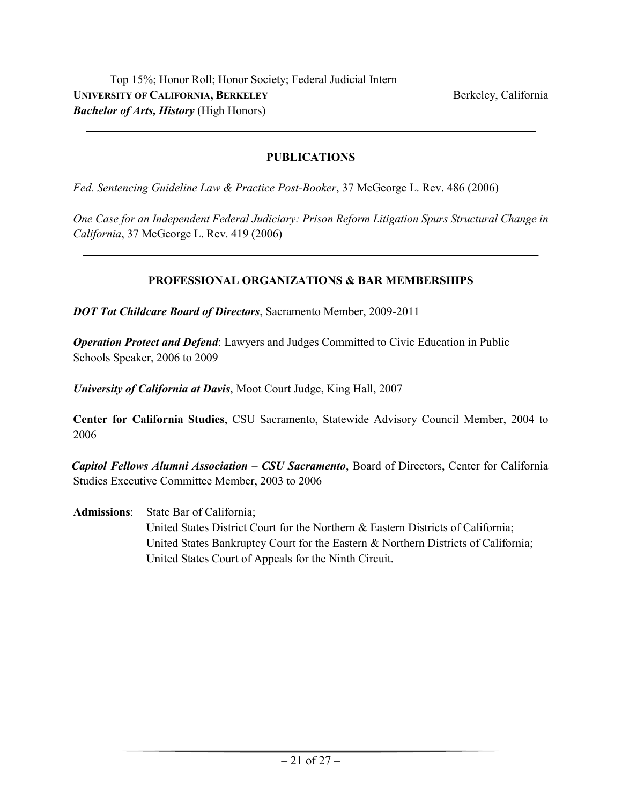#### **PUBLICATIONS**

**\_\_\_\_\_\_\_\_\_\_\_\_\_\_\_\_\_\_\_\_\_\_\_\_\_\_\_\_\_\_\_\_\_\_\_\_\_\_\_\_\_\_\_\_\_\_\_\_\_\_\_\_\_\_\_\_\_\_\_\_\_\_\_\_\_\_\_\_\_\_\_\_\_\_\_\_\_**

*Fed. Sentencing Guideline Law & Practice Post-Booker*, 37 McGeorge L. Rev. 486 (2006)

*One Case for an Independent Federal Judiciary: Prison Reform Litigation Spurs Structural Change in California*, 37 McGeorge L. Rev. 419 (2006)

 $\mathcal{L}_\mathcal{L} = \{ \mathcal{L}_\mathcal{L} = \{ \mathcal{L}_\mathcal{L} = \{ \mathcal{L}_\mathcal{L} = \{ \mathcal{L}_\mathcal{L} = \{ \mathcal{L}_\mathcal{L} = \{ \mathcal{L}_\mathcal{L} = \{ \mathcal{L}_\mathcal{L} = \{ \mathcal{L}_\mathcal{L} = \{ \mathcal{L}_\mathcal{L} = \{ \mathcal{L}_\mathcal{L} = \{ \mathcal{L}_\mathcal{L} = \{ \mathcal{L}_\mathcal{L} = \{ \mathcal{L}_\mathcal{L} = \{ \mathcal{L}_\mathcal{$ 

#### **PROFESSIONAL ORGANIZATIONS & BAR MEMBERSHIPS**

*DOT Tot Childcare Board of Directors*, Sacramento Member, 2009-2011

*Operation Protect and Defend*: Lawyers and Judges Committed to Civic Education in Public Schools Speaker, 2006 to 2009

*University of California at Davis*, Moot Court Judge, King Hall, 2007

**Center for California Studies**, CSU Sacramento, Statewide Advisory Council Member, 2004 to 2006

*Capitol Fellows Alumni Association – CSU Sacramento*, Board of Directors, Center for California Studies Executive Committee Member, 2003 to 2006

**Admissions**: State Bar of California; United States District Court for the Northern & Eastern Districts of California; United States Bankruptcy Court for the Eastern & Northern Districts of California; United States Court of Appeals for the Ninth Circuit.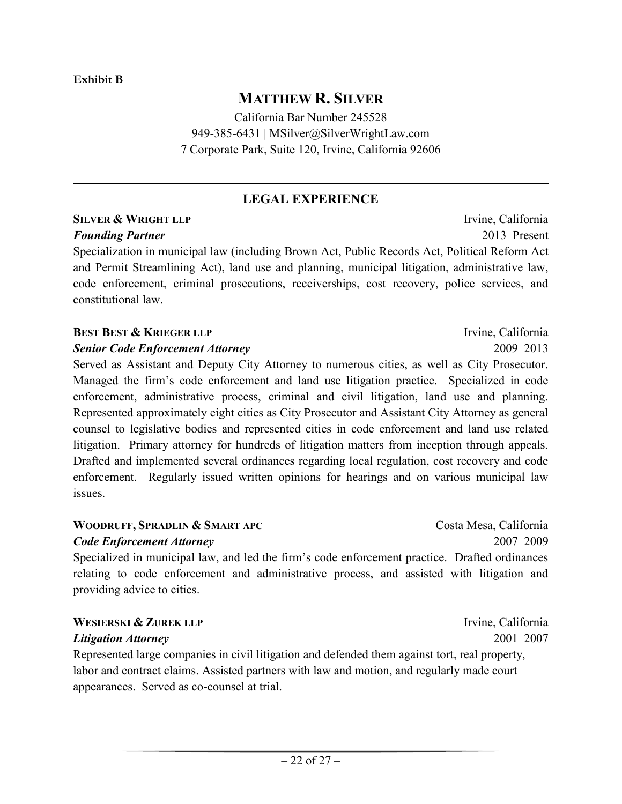# **MATTHEW R. SILVER**

California Bar Number 245528 949-385-6431 | MSilver@SilverWrightLaw.com 7 Corporate Park, Suite 120, Irvine, California 92606

### **LEGAL EXPERIENCE**

 $\mathcal{L}_\mathcal{L} = \mathcal{L}_\mathcal{L} = \mathcal{L}_\mathcal{L} = \mathcal{L}_\mathcal{L} = \mathcal{L}_\mathcal{L} = \mathcal{L}_\mathcal{L} = \mathcal{L}_\mathcal{L} = \mathcal{L}_\mathcal{L} = \mathcal{L}_\mathcal{L} = \mathcal{L}_\mathcal{L} = \mathcal{L}_\mathcal{L} = \mathcal{L}_\mathcal{L} = \mathcal{L}_\mathcal{L} = \mathcal{L}_\mathcal{L} = \mathcal{L}_\mathcal{L} = \mathcal{L}_\mathcal{L} = \mathcal{L}_\mathcal{L}$ 

# **SILVER & WRIGHT LLP** Irvine, California

Specialization in municipal law (including Brown Act, Public Records Act, Political Reform Act and Permit Streamlining Act), land use and planning, municipal litigation, administrative law, code enforcement, criminal prosecutions, receiverships, cost recovery, police services, and constitutional law.

### **B**EST **& KRIEGER LLP** Irvine, California

#### *Senior Code Enforcement Attorney* 2009–2013

Served as Assistant and Deputy City Attorney to numerous cities, as well as City Prosecutor. Managed the firm's code enforcement and land use litigation practice. Specialized in code enforcement, administrative process, criminal and civil litigation, land use and planning. Represented approximately eight cities as City Prosecutor and Assistant City Attorney as general counsel to legislative bodies and represented cities in code enforcement and land use related litigation. Primary attorney for hundreds of litigation matters from inception through appeals. Drafted and implemented several ordinances regarding local regulation, cost recovery and code enforcement. Regularly issued written opinions for hearings and on various municipal law issues.

#### **WOODRUFF, SPRADLIN & SMART APC** Costa Mesa, California

#### *Code Enforcement Attorney* 2007–2009

Specialized in municipal law, and led the firm's code enforcement practice. Drafted ordinances relating to code enforcement and administrative process, and assisted with litigation and providing advice to cities.

#### **WESIERSKI & ZUREK LLP** Irvine, California

#### *Litigation Attorney* 2001–2007

Represented large companies in civil litigation and defended them against tort, real property, labor and contract claims. Assisted partners with law and motion, and regularly made court appearances. Served as co-counsel at trial.

*Founding Partner* 2013–Present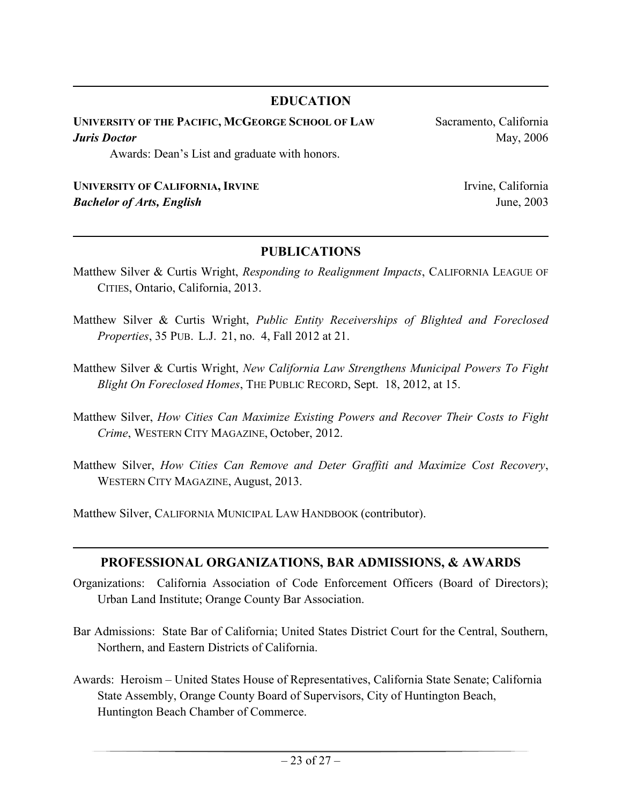### **EDUCATION**

**\_\_\_\_\_\_\_\_\_\_\_\_\_\_\_\_\_\_\_\_\_\_\_\_\_\_\_\_\_\_\_\_\_\_\_\_\_\_\_\_\_\_\_\_\_\_\_\_\_\_\_\_\_\_\_\_\_\_\_\_\_\_\_\_\_\_\_\_\_\_\_\_\_\_\_\_\_\_**

**UNIVERSITY OF THE PACIFIC, MCGEORGE SCHOOL OF LAW** Sacramento, California *Juris Doctor* May, 2006 Awards: Dean's List and graduate with honors.

#### **UNIVERSITY OF CALIFORNIA, IRVINE** Irvine, California *Bachelor of Arts, English* June, 2003

### **PUBLICATIONS**

 $\mathcal{L}_\mathcal{L} = \mathcal{L}_\mathcal{L} = \mathcal{L}_\mathcal{L} = \mathcal{L}_\mathcal{L} = \mathcal{L}_\mathcal{L} = \mathcal{L}_\mathcal{L} = \mathcal{L}_\mathcal{L} = \mathcal{L}_\mathcal{L} = \mathcal{L}_\mathcal{L} = \mathcal{L}_\mathcal{L} = \mathcal{L}_\mathcal{L} = \mathcal{L}_\mathcal{L} = \mathcal{L}_\mathcal{L} = \mathcal{L}_\mathcal{L} = \mathcal{L}_\mathcal{L} = \mathcal{L}_\mathcal{L} = \mathcal{L}_\mathcal{L}$ 

- Matthew Silver & Curtis Wright, *Responding to Realignment Impacts*, CALIFORNIA LEAGUE OF CITIES, Ontario, California, 2013.
- Matthew Silver & Curtis Wright, *Public Entity Receiverships of Blighted and Foreclosed Properties*, 35 PUB. L.J. 21, no. 4, Fall 2012 at 21.
- Matthew Silver & Curtis Wright, *New California Law Strengthens Municipal Powers To Fight Blight On Foreclosed Homes*, THE PUBLIC RECORD, Sept. 18, 2012, at 15.
- Matthew Silver, *How Cities Can Maximize Existing Powers and Recover Their Costs to Fight Crime*, WESTERN CITY MAGAZINE, October, 2012.
- Matthew Silver, *How Cities Can Remove and Deter Graffiti and Maximize Cost Recovery*, WESTERN CITY MAGAZINE, August, 2013.

Matthew Silver, CALIFORNIA MUNICIPAL LAW HANDBOOK (contributor).

#### **PROFESSIONAL ORGANIZATIONS, BAR ADMISSIONS, & AWARDS**

 $\mathcal{L}_\mathcal{L} = \mathcal{L}_\mathcal{L} = \mathcal{L}_\mathcal{L} = \mathcal{L}_\mathcal{L} = \mathcal{L}_\mathcal{L} = \mathcal{L}_\mathcal{L} = \mathcal{L}_\mathcal{L} = \mathcal{L}_\mathcal{L} = \mathcal{L}_\mathcal{L} = \mathcal{L}_\mathcal{L} = \mathcal{L}_\mathcal{L} = \mathcal{L}_\mathcal{L} = \mathcal{L}_\mathcal{L} = \mathcal{L}_\mathcal{L} = \mathcal{L}_\mathcal{L} = \mathcal{L}_\mathcal{L} = \mathcal{L}_\mathcal{L}$ 

- Organizations: California Association of Code Enforcement Officers (Board of Directors); Urban Land Institute; Orange County Bar Association.
- Bar Admissions: State Bar of California; United States District Court for the Central, Southern, Northern, and Eastern Districts of California.
- Awards: Heroism United States House of Representatives, California State Senate; California State Assembly, Orange County Board of Supervisors, City of Huntington Beach, Huntington Beach Chamber of Commerce.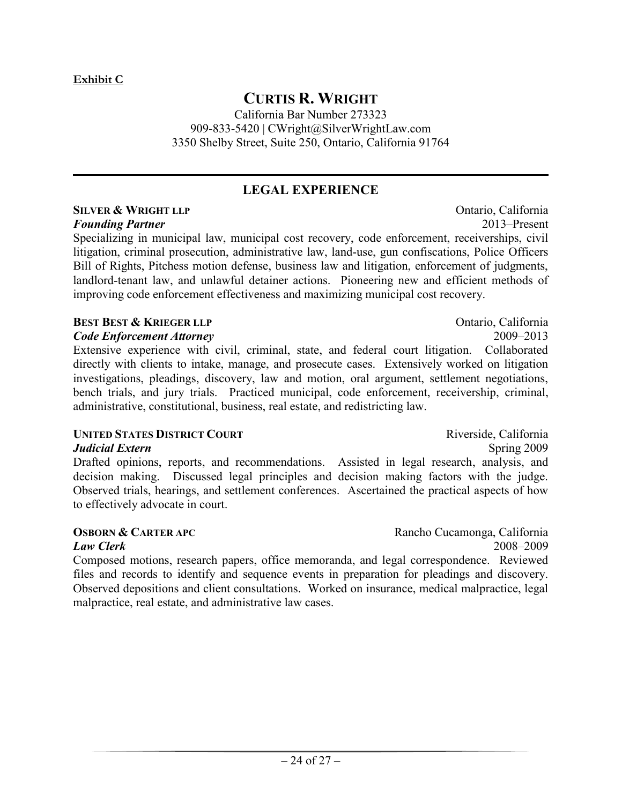# **CURTIS R. WRIGHT**

California Bar Number 273323 909-833-5420 | CWright@SilverWrightLaw.com 3350 Shelby Street, Suite 250, Ontario, California 91764

## **LEGAL EXPERIENCE**

**\_\_\_\_\_\_\_\_\_\_\_\_\_\_\_\_\_\_\_\_\_\_\_\_\_\_\_\_\_\_\_\_\_\_\_\_\_\_\_\_\_\_\_\_\_\_\_\_\_\_\_\_\_\_\_\_\_\_\_\_\_\_\_\_\_\_\_\_\_\_\_\_\_\_\_\_\_\_**

#### **SILVER & WRIGHT LLP** Ontario, California *Founding Partner* 2013–Present

Specializing in municipal law, municipal cost recovery, code enforcement, receiverships, civil litigation, criminal prosecution, administrative law, land-use, gun confiscations, Police Officers Bill of Rights, Pitchess motion defense, business law and litigation, enforcement of judgments, landlord-tenant law, and unlawful detainer actions. Pioneering new and efficient methods of improving code enforcement effectiveness and maximizing municipal cost recovery.

#### **BEST BEST & KRIEGER LLP** Ontario, California

#### *Code Enforcement Attorney* 2009–2013

Extensive experience with civil, criminal, state, and federal court litigation. Collaborated directly with clients to intake, manage, and prosecute cases. Extensively worked on litigation investigations, pleadings, discovery, law and motion, oral argument, settlement negotiations, bench trials, and jury trials. Practiced municipal, code enforcement, receivership, criminal, administrative, constitutional, business, real estate, and redistricting law.

#### **UNITED STATES DISTRICT COURT** Riverside, California

#### *Judicial Extern* Spring 2009

Drafted opinions, reports, and recommendations. Assisted in legal research, analysis, and decision making. Discussed legal principles and decision making factors with the judge. Observed trials, hearings, and settlement conferences. Ascertained the practical aspects of how to effectively advocate in court.

Composed motions, research papers, office memoranda, and legal correspondence. Reviewed files and records to identify and sequence events in preparation for pleadings and discovery. Observed depositions and client consultations. Worked on insurance, medical malpractice, legal malpractice, real estate, and administrative law cases.

**OSBORN & CARTER APC** Rancho Cucamonga, California *Law Clerk* 2008–2009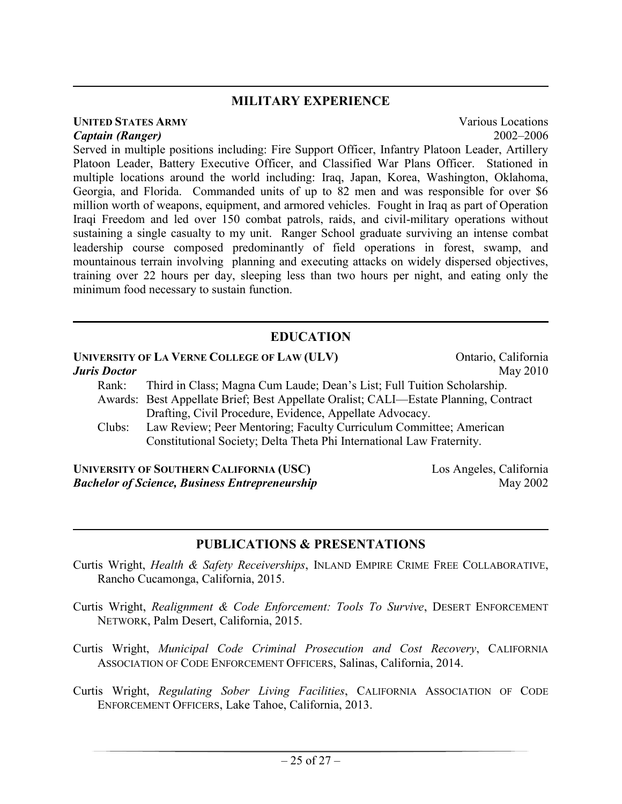#### **MILITARY EXPERIENCE**

**\_\_\_\_\_\_\_\_\_\_\_\_\_\_\_\_\_\_\_\_\_\_\_\_\_\_\_\_\_\_\_\_\_\_\_\_\_\_\_\_\_\_\_\_\_\_\_\_\_\_\_\_\_\_\_\_\_\_\_\_\_\_\_\_\_\_\_\_\_\_\_\_\_\_\_\_\_\_**

#### **UNITED STATES ARMY** Various Locations *Captain (Ranger)* 2002–2006

Served in multiple positions including: Fire Support Officer, Infantry Platoon Leader, Artillery Platoon Leader, Battery Executive Officer, and Classified War Plans Officer. Stationed in multiple locations around the world including: Iraq, Japan, Korea, Washington, Oklahoma, Georgia, and Florida. Commanded units of up to 82 men and was responsible for over \$6 million worth of weapons, equipment, and armored vehicles. Fought in Iraq as part of Operation Iraqi Freedom and led over 150 combat patrols, raids, and civil-military operations without sustaining a single casualty to my unit. Ranger School graduate surviving an intense combat leadership course composed predominantly of field operations in forest, swamp, and mountainous terrain involving planning and executing attacks on widely dispersed objectives, training over 22 hours per day, sleeping less than two hours per night, and eating only the minimum food necessary to sustain function.

#### **EDUCATION**

**\_\_\_\_\_\_\_\_\_\_\_\_\_\_\_\_\_\_\_\_\_\_\_\_\_\_\_\_\_\_\_\_\_\_\_\_\_\_\_\_\_\_\_\_\_\_\_\_\_\_\_\_\_\_\_\_\_\_\_\_\_\_\_\_\_\_\_\_\_\_\_\_\_\_\_\_\_\_**

|                     | UNIVERSITY OF LA VERNE COLLEGE OF LAW (ULV)                                          | Ontario, California                    |  |  |
|---------------------|--------------------------------------------------------------------------------------|----------------------------------------|--|--|
| <b>Juris Doctor</b> |                                                                                      | May 2010                               |  |  |
| Rank:               | Third in Class; Magna Cum Laude; Dean's List; Full Tuition Scholarship.              |                                        |  |  |
|                     | Awards: Best Appellate Brief; Best Appellate Oralist; CALI—Estate Planning, Contract |                                        |  |  |
|                     | Drafting, Civil Procedure, Evidence, Appellate Advocacy.                             |                                        |  |  |
| Clubs:              | Law Review; Peer Mentoring; Faculty Curriculum Committee; American                   |                                        |  |  |
|                     | Constitutional Society; Delta Theta Phi International Law Fraternity.                |                                        |  |  |
|                     |                                                                                      |                                        |  |  |
|                     | $\mathbf{U}$                                                                         | $\mathbf{I}$ $\mathbf{A}$ $\mathbf{I}$ |  |  |

**UNIVERSITY OF SOUTHERN CALIFORNIA (USC)** Los Angeles, California **Bachelor of Science, Business Entrepreneurship** May 2002

#### **PUBLICATIONS & PRESENTATIONS**

 $\mathcal{L}_\mathcal{L} = \mathcal{L}_\mathcal{L} = \mathcal{L}_\mathcal{L} = \mathcal{L}_\mathcal{L} = \mathcal{L}_\mathcal{L} = \mathcal{L}_\mathcal{L} = \mathcal{L}_\mathcal{L} = \mathcal{L}_\mathcal{L} = \mathcal{L}_\mathcal{L} = \mathcal{L}_\mathcal{L} = \mathcal{L}_\mathcal{L} = \mathcal{L}_\mathcal{L} = \mathcal{L}_\mathcal{L} = \mathcal{L}_\mathcal{L} = \mathcal{L}_\mathcal{L} = \mathcal{L}_\mathcal{L} = \mathcal{L}_\mathcal{L}$ 

- Curtis Wright, *Health & Safety Receiverships*, INLAND EMPIRE CRIME FREE COLLABORATIVE, Rancho Cucamonga, California, 2015.
- Curtis Wright, *Realignment & Code Enforcement: Tools To Survive*, DESERT ENFORCEMENT NETWORK, Palm Desert, California, 2015.
- Curtis Wright, *Municipal Code Criminal Prosecution and Cost Recovery*, CALIFORNIA ASSOCIATION OF CODE ENFORCEMENT OFFICERS, Salinas, California, 2014.
- Curtis Wright, *Regulating Sober Living Facilities*, CALIFORNIA ASSOCIATION OF CODE ENFORCEMENT OFFICERS, Lake Tahoe, California, 2013.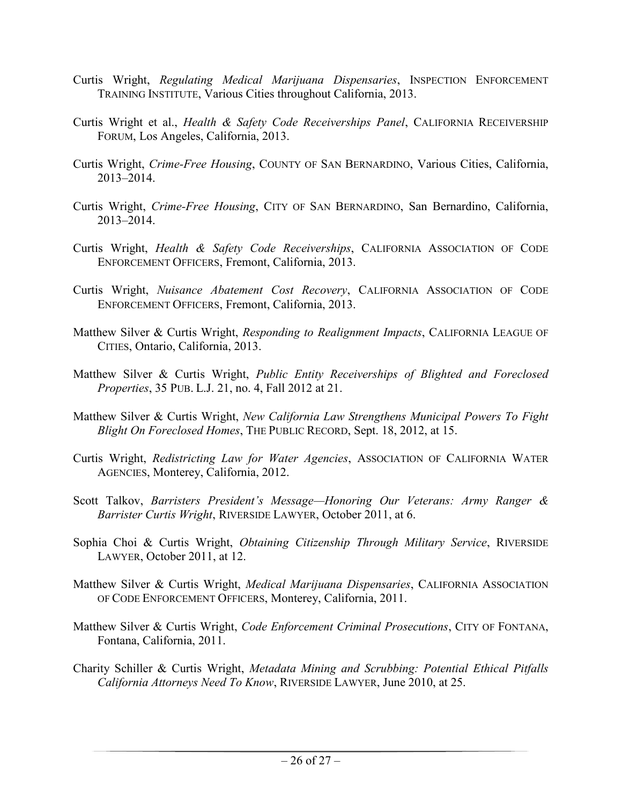- Curtis Wright, *Regulating Medical Marijuana Dispensaries*, INSPECTION ENFORCEMENT TRAINING INSTITUTE, Various Cities throughout California, 2013.
- Curtis Wright et al., *Health & Safety Code Receiverships Panel*, CALIFORNIA RECEIVERSHIP FORUM, Los Angeles, California, 2013.
- Curtis Wright, *Crime-Free Housing*, COUNTY OF SAN BERNARDINO, Various Cities, California, 2013–2014.
- Curtis Wright, *Crime-Free Housing*, CITY OF SAN BERNARDINO, San Bernardino, California, 2013–2014.
- Curtis Wright, *Health & Safety Code Receiverships*, CALIFORNIA ASSOCIATION OF CODE ENFORCEMENT OFFICERS, Fremont, California, 2013.
- Curtis Wright, *Nuisance Abatement Cost Recovery*, CALIFORNIA ASSOCIATION OF CODE ENFORCEMENT OFFICERS, Fremont, California, 2013.
- Matthew Silver & Curtis Wright, *Responding to Realignment Impacts*, CALIFORNIA LEAGUE OF CITIES, Ontario, California, 2013.
- Matthew Silver & Curtis Wright, *Public Entity Receiverships of Blighted and Foreclosed Properties*, 35 PUB. L.J. 21, no. 4, Fall 2012 at 21.
- Matthew Silver & Curtis Wright, *New California Law Strengthens Municipal Powers To Fight Blight On Foreclosed Homes*, THE PUBLIC RECORD, Sept. 18, 2012, at 15.
- Curtis Wright, *Redistricting Law for Water Agencies*, ASSOCIATION OF CALIFORNIA WATER AGENCIES, Monterey, California, 2012.
- Scott Talkov, *Barristers President's Message—Honoring Our Veterans: Army Ranger & Barrister Curtis Wright*, RIVERSIDE LAWYER, October 2011, at 6.
- Sophia Choi & Curtis Wright, *Obtaining Citizenship Through Military Service*, RIVERSIDE LAWYER, October 2011, at 12.
- Matthew Silver & Curtis Wright, *Medical Marijuana Dispensaries*, CALIFORNIA ASSOCIATION OF CODE ENFORCEMENT OFFICERS, Monterey, California, 2011.
- Matthew Silver & Curtis Wright, *Code Enforcement Criminal Prosecutions*, CITY OF FONTANA, Fontana, California, 2011.
- Charity Schiller & Curtis Wright, *Metadata Mining and Scrubbing: Potential Ethical Pitfalls California Attorneys Need To Know*, RIVERSIDE LAWYER, June 2010, at 25.